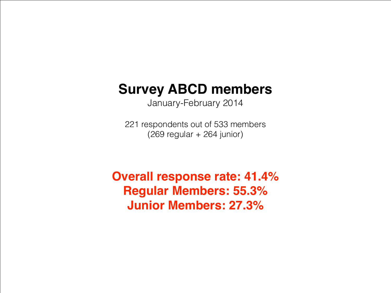## **Survey ABCD members**

January-February 2014

221 respondents out of 533 members (269 regular + 264 junior)

**Overall response rate: 41.4% Regular Members: 55.3% Junior Members: 27.3%**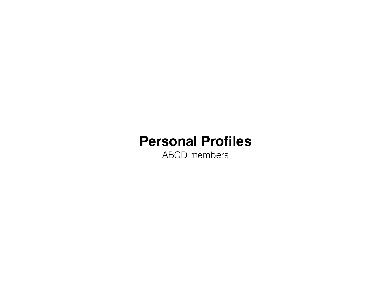### **Personal Profiles**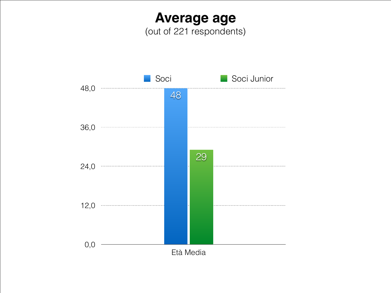**Average age** (out of 221 respondents)

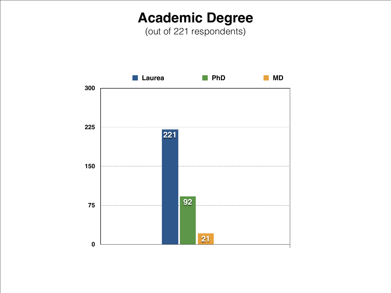### **Academic Degree**

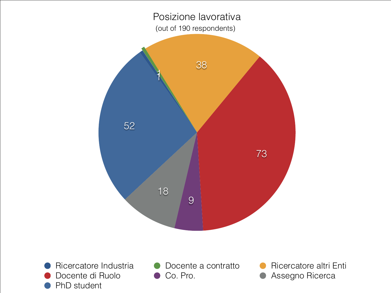Posizione lavorativa (out of 190 respondents)



- Docente di Ruolo **Co. Pro.** Co. Pro. **Co. Assegno Ricerca** PhD student
- Ricercatore Industria **O** Docente a contratto **O** Ricercatore altri Enti
	-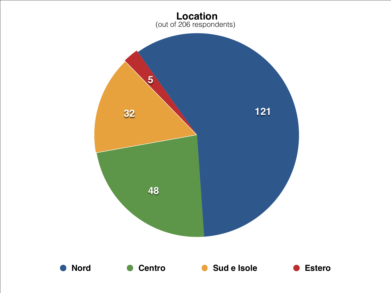

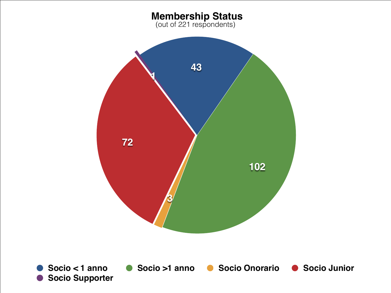#### **Membership Status**

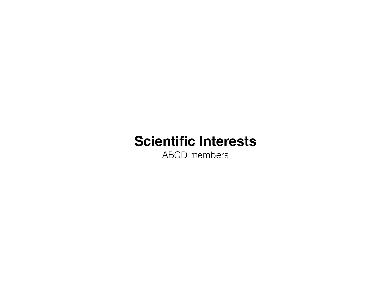# **Scientific Interests**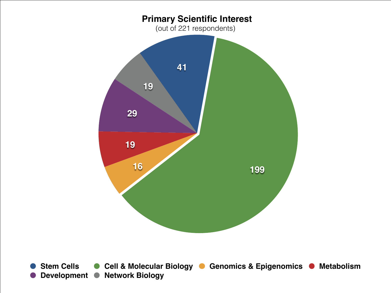

**Stem Cells •• Cell & Molecular Biology • Genomics & Epigenomics • Metabolism Development • Network Biology**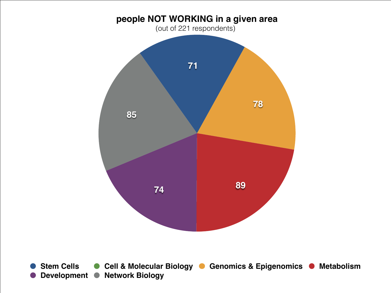

**Stem Cells •• Cell & Molecular Biology •• Genomics & Epigenomics • Metabolism Development • Network Biology**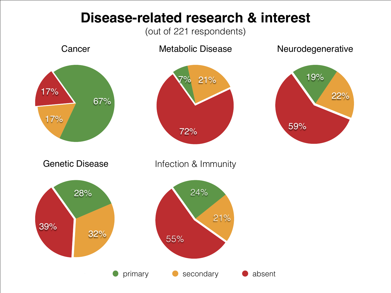#### **Disease-related research & interest**

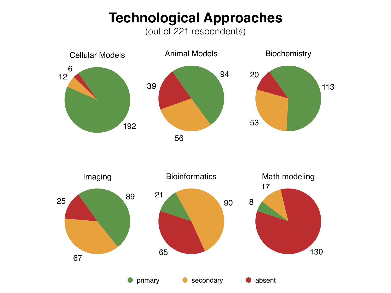## **Technological Approaches**

(out of 221 respondents)



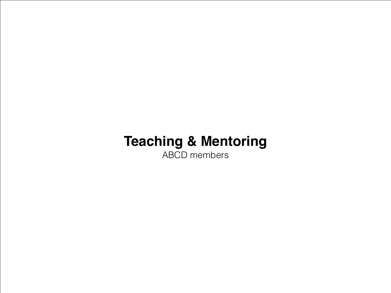# **Teaching & Mentoring**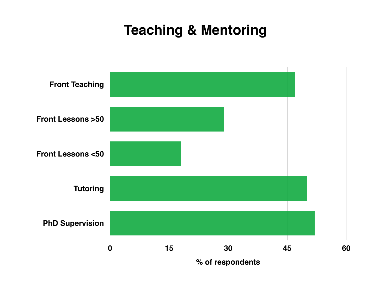## **Teaching & Mentoring**

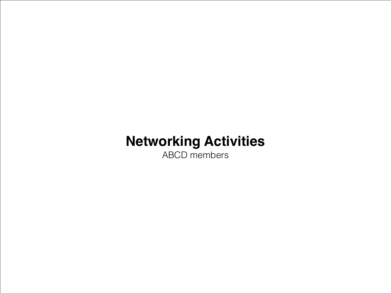# **Networking Activities**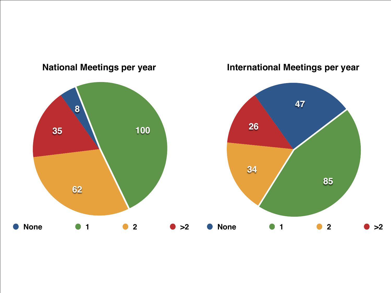

#### **National Meetings per year**

**International Meetings per year**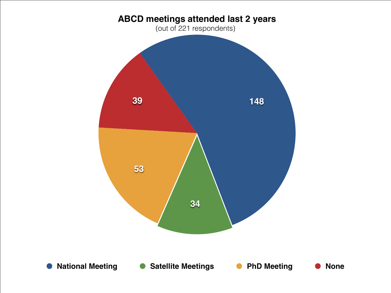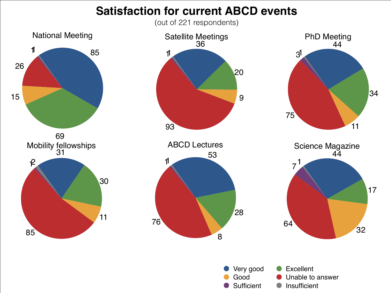#### **Satisfaction for current ABCD events**

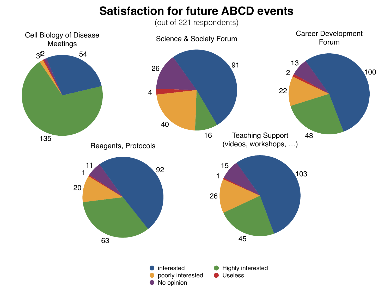#### **Satisfaction for future ABCD events**

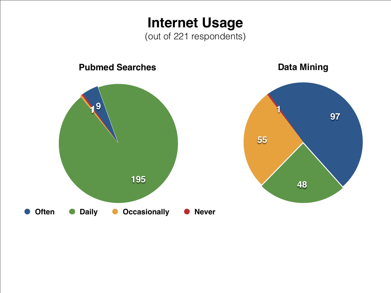**Internet Usage** (out of 221 respondents)

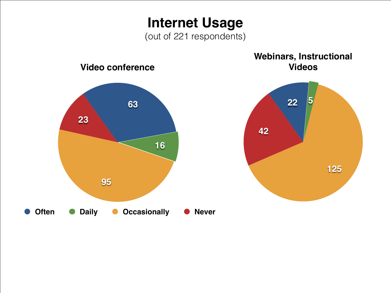**Internet Usage** (out of 221 respondents)